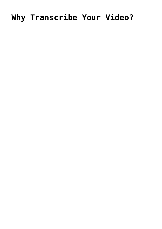# Why Transcribe Your Video?

- 
- 
- 
- -
	-
	-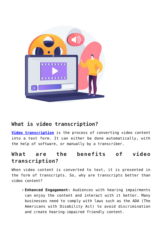

# **What is video transcription?**

**[Video transcription](https://www.voxtab.com/video-transcription.htm)** is the process of converting video content into a text form. It can either be done automatically, with the help of software, or manually by a transcriber.

## **What are the benefits of video transcription?**

When video content is converted to text, it is presented in the form of transcripts. So, why are transcripts better than video content?

**Enhanced Engagement:** Audiences with hearing impairments can enjoy the content and interact with it better. Many businesses need to comply with laws such as the ADA (The Americans with Disability Act) to avoid discrimination and create hearing-impaired friendly content.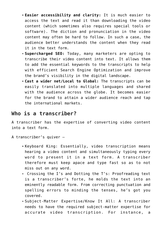- **Easier accessibility and clarity:** It is much easier to access the text and read it than downloading the video content (which sometimes also requires special tools or software). The diction and pronunciation in the video content may often be hard to follow. In such a case, the audience better understands the content when they read it in the text form.
- **Supercharged SEO:** Today, many marketers are opting to transcribe their video content into text. It allows them to add the essential keywords to the transcripts to help with efficient Search Engine Optimization and improve the brand's visibility in the digital landscape.
- **Cast a wider net/Local to Global:** The transcripts can be easily translated into multiple languages and shared with the audience across the globe. It becomes easier for the brand to attain a wider audience reach and tap the international markets.

#### **Who is a transcriber?**

A transcriber has the expertise of converting video content into a text form.

- A transcriber's quiver
	- Keyboard King: Essentially, video transcription means hearing a video content and simultaneously typing every word to present it in a text form. A transcriber therefore must keep apace and type fast so as to not miss out on any word.
	- Crossing the I's and Dotting the T's: Proofreading text is a transcriber's forte, he molds the text into an eminently readable form. From correcting punctuation and spelling errors to minding the tenses, he's got you covered.
	- Subject-Matter Expertise/Know It All: A transcriber needs to have the required subject-matter expertise for accurate video transcription. For instance, a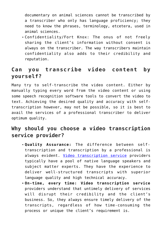documentary on animal sciences cannot be transcribed by a transcriber who only has language proficiency; they need to know the phrases, terminology, etcetera, used in animal sciences.

Confidentiality/Fort Knox: The onus of not freely sharing the client's information without consent is always on the transcriber. The way transcribers maintain confidentiality also adds to their credibility and reputation.

## **Can you transcribe video content by yourself?**

Many try to self-transcribe the video content. Either by manually typing every word from the video content or using some speech recognition software tools to convert the video to text. Achieving the desired quality and accuracy with selftranscription however, may not be possible, so it is best to avail the services of a professional transcriber to deliver optimum quality.

# **Why should you choose a video transcription service provider?**

- **Quality Assurance:** The difference between selftranscription and transcription by a professional is always evident. [Video transcription service](https://www.voxtab.com/video-transcription.htm) providers typically have a pool of native language speakers and subject matter experts. They have the experience to deliver well-structured transcripts with superior language quality and high technical accuracy.
- **On-time, every time: Video transcription service** providers understand that untimely delivery of services will disrupt their credibility and the client's business. So, they always ensure timely delivery of the transcripts, regardless of how time-consuming the process or unique the client's requirement is.